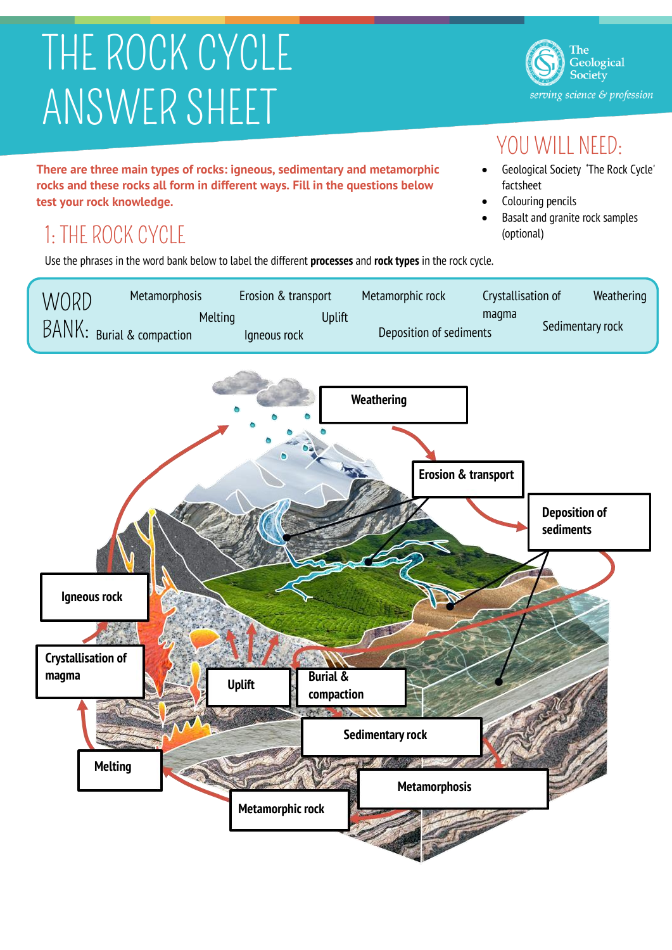# THE ROCK CYCLE ANSWER SHEET

**There are three main types of rocks: igneous, sedimentary and metamorphic rocks and these rocks all form in different ways. Fill in the questions below test your rock knowledge.**

## 1: THE ROCK CYCLE

Use the phrases in the word bank below to label the different **processes** and **rock types** in the rock cycle.





The Geological Society serving science & profession

### YOU WILL NEED:

- Geological Society 'The Rock Cycle' factsheet
- Colouring pencils
- Basalt and granite rock samples (optional)